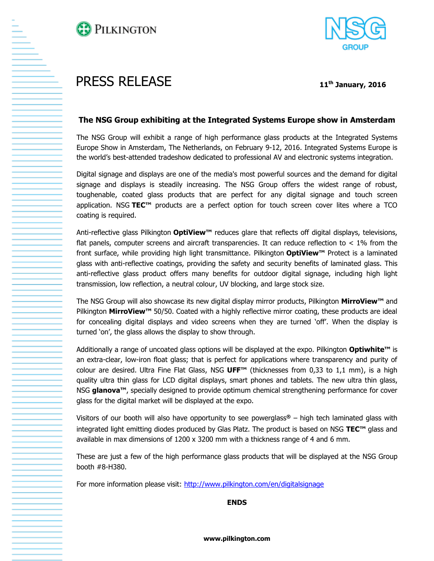



## PRESS RELEASE **<sup>11</sup>th January, 2016**

## **The NSG Group exhibiting at the Integrated Systems Europe show in Amsterdam**

The NSG Group will exhibit a range of high performance glass products at the Integrated Systems Europe Show in Amsterdam, The Netherlands, on February 9-12, 2016. Integrated Systems Europe is the world's best-attended tradeshow dedicated to professional AV and electronic systems integration.

Digital signage and displays are one of the media's most powerful sources and the demand for digital signage and displays is steadily increasing. The NSG Group offers the widest range of robust, toughenable, coated glass products that are perfect for any digital signage and touch screen application. NSG **TEC™** products are a perfect option for touch screen cover lites where a TCO coating is required.

Anti-reflective glass Pilkington **OptiView™** reduces glare that reflects off digital displays, televisions, flat panels, computer screens and aircraft transparencies. It can reduce reflection to  $< 1\%$  from the front surface, while providing high light transmittance. Pilkington **OptiView™** Protect is a laminated glass with anti-reflective coatings, providing the safety and security benefits of laminated glass. This anti-reflective glass product offers many benefits for outdoor digital signage, including high light transmission, low reflection, a neutral colour, UV blocking, and large stock size.

The NSG Group will also showcase its new digital display mirror products, Pilkington **MirroView™** and Pilkington **MirroView™** 50/50. Coated with a highly reflective mirror coating, these products are ideal for concealing digital displays and video screens when they are turned 'off'. When the display is turned 'on', the glass allows the display to show through.

Additionally a range of uncoated glass options will be displayed at the expo. Pilkington **Optiwhite™** is an extra-clear, low-iron float glass; that is perfect for applications where transparency and purity of colour are desired. Ultra Fine Flat Glass, NSG **UFF™** (thicknesses from 0,33 to 1,1 mm), is a high quality ultra thin glass for LCD digital displays, smart phones and tablets. The new ultra thin glass, NSG **glanova™**, specially designed to provide optimum chemical strengthening performance for cover glass for the digital market will be displayed at the expo.

Visitors of our booth will also have opportunity to see powerglass**®** – high tech laminated glass with integrated light emitting diodes produced by Glas Platz. The product is based on NSG **TEC™** glass and available in max dimensions of 1200 x 3200 mm with a thickness range of 4 and 6 mm.

These are just a few of the high performance glass products that will be displayed at the NSG Group booth #8-H380.

For more information please visit:<http://www.pilkington.com/en/digitalsignage>

**ENDS**

**www.pilkington.com**